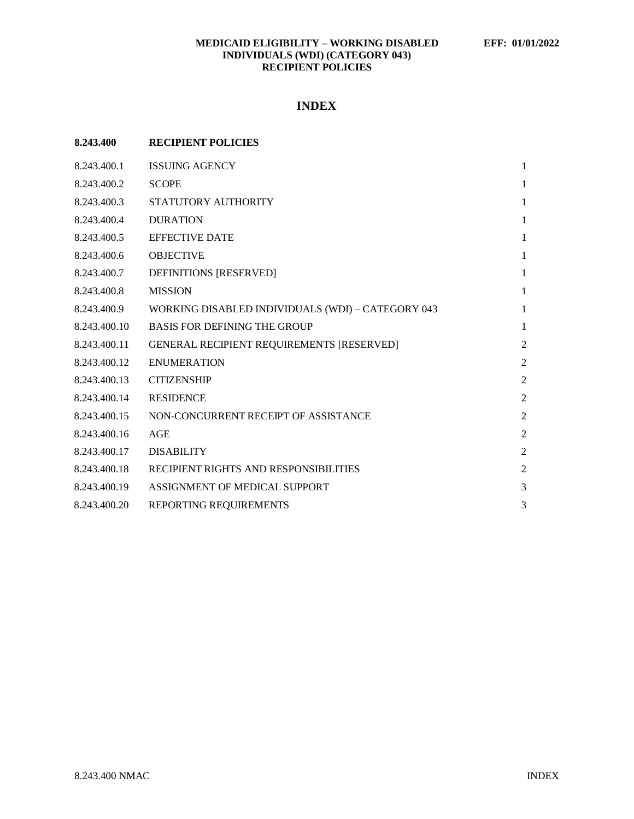# **INDEX**

| 8.243.400    | <b>RECIPIENT POLICIES</b>                         |                |
|--------------|---------------------------------------------------|----------------|
| 8.243.400.1  | <b>ISSUING AGENCY</b>                             | 1              |
| 8.243.400.2  | <b>SCOPE</b>                                      | 1              |
| 8.243.400.3  | STATUTORY AUTHORITY                               | 1              |
| 8.243.400.4  | <b>DURATION</b>                                   | $\mathbf{1}$   |
| 8.243.400.5  | <b>EFFECTIVE DATE</b>                             | 1              |
| 8.243.400.6  | <b>OBJECTIVE</b>                                  | 1              |
| 8.243.400.7  | <b>DEFINITIONS [RESERVED]</b>                     | 1              |
| 8.243.400.8  | <b>MISSION</b>                                    | 1              |
| 8.243.400.9  | WORKING DISABLED INDIVIDUALS (WDI) - CATEGORY 043 | 1              |
| 8.243.400.10 | <b>BASIS FOR DEFINING THE GROUP</b>               | $\mathbf{1}$   |
| 8.243.400.11 | <b>GENERAL RECIPIENT REQUIREMENTS [RESERVED]</b>  | $\overline{2}$ |
| 8.243.400.12 | <b>ENUMERATION</b>                                | $\overline{2}$ |
| 8.243.400.13 | <b>CITIZENSHIP</b>                                | $\overline{2}$ |
| 8.243.400.14 | <b>RESIDENCE</b>                                  | $\overline{c}$ |
| 8.243.400.15 | NON-CONCURRENT RECEIPT OF ASSISTANCE              | $\overline{2}$ |
| 8.243.400.16 | AGE                                               | $\overline{2}$ |
| 8.243.400.17 | <b>DISABILITY</b>                                 | $\overline{2}$ |
| 8.243.400.18 | RECIPIENT RIGHTS AND RESPONSIBILITIES             | $\overline{2}$ |
| 8.243.400.19 | ASSIGNMENT OF MEDICAL SUPPORT                     | 3              |
| 8.243.400.20 | REPORTING REQUIREMENTS                            | 3              |
|              |                                                   |                |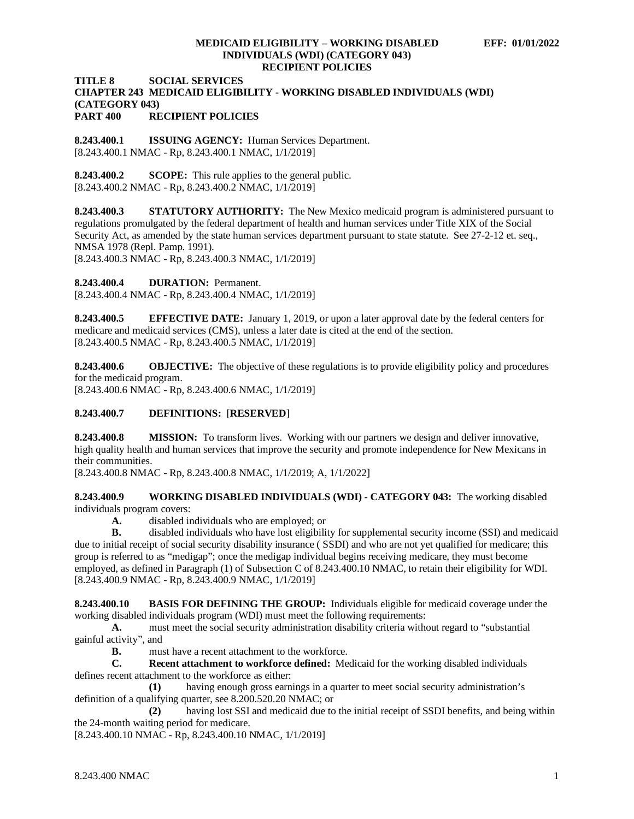#### **TITLE 8 SOCIAL SERVICES CHAPTER 243 MEDICAID ELIGIBILITY - WORKING DISABLED INDIVIDUALS (WDI) (CATEGORY 043) RECIPIENT POLICIES**

<span id="page-1-0"></span>**8.243.400.1 ISSUING AGENCY:** Human Services Department. [8.243.400.1 NMAC - Rp, 8.243.400.1 NMAC, 1/1/2019]

<span id="page-1-1"></span>**8.243.400.2 SCOPE:** This rule applies to the general public. [8.243.400.2 NMAC - Rp, 8.243.400.2 NMAC, 1/1/2019]

<span id="page-1-2"></span>**8.243.400.3 STATUTORY AUTHORITY:** The New Mexico medicaid program is administered pursuant to regulations promulgated by the federal department of health and human services under Title XIX of the Social Security Act, as amended by the state human services department pursuant to state statute. See 27-2-12 et. seq., NMSA 1978 (Repl. Pamp. 1991).

[8.243.400.3 NMAC - Rp, 8.243.400.3 NMAC, 1/1/2019]

<span id="page-1-3"></span>**8.243.400.4 DURATION:** Permanent.

[8.243.400.4 NMAC - Rp, 8.243.400.4 NMAC, 1/1/2019]

<span id="page-1-4"></span>**8.243.400.5 EFFECTIVE DATE:** January 1, 2019, or upon a later approval date by the federal centers for medicare and medicaid services (CMS), unless a later date is cited at the end of the section. [8.243.400.5 NMAC - Rp, 8.243.400.5 NMAC, 1/1/2019]

<span id="page-1-5"></span>**8.243.400.6 OBJECTIVE:** The objective of these regulations is to provide eligibility policy and procedures for the medicaid program. [8.243.400.6 NMAC - Rp, 8.243.400.6 NMAC, 1/1/2019]

## <span id="page-1-6"></span>**8.243.400.7 DEFINITIONS:** [**RESERVED**]

<span id="page-1-7"></span>**8.243.400.8 MISSION:** To transform lives. Working with our partners we design and deliver innovative, high quality health and human services that improve the security and promote independence for New Mexicans in their communities.

[8.243.400.8 NMAC - Rp, 8.243.400.8 NMAC, 1/1/2019; A, 1/1/2022]

<span id="page-1-8"></span>**8.243.400.9 WORKING DISABLED INDIVIDUALS (WDI) - CATEGORY 043:** The working disabled individuals program covers:

**A.** disabled individuals who are employed; or

**B.** disabled individuals who have lost eligibility for supplemental security income (SSI) and medicaid due to initial receipt of social security disability insurance ( SSDI) and who are not yet qualified for medicare; this group is referred to as "medigap"; once the medigap individual begins receiving medicare, they must become employed, as defined in Paragraph (1) of Subsection C of 8.243.400.10 NMAC, to retain their eligibility for WDI. [8.243.400.9 NMAC - Rp, 8.243.400.9 NMAC, 1/1/2019]

<span id="page-1-9"></span>**8.243.400.10 BASIS FOR DEFINING THE GROUP:** Individuals eligible for medicaid coverage under the working disabled individuals program (WDI) must meet the following requirements:

**A.** must meet the social security administration disability criteria without regard to "substantial gainful activity", and

**B.** must have a recent attachment to the workforce.

**C. Recent attachment to workforce defined:** Medicaid for the working disabled individuals defines recent attachment to the workforce as either:

**(1)** having enough gross earnings in a quarter to meet social security administration's definition of a qualifying quarter, see 8.200.520.20 NMAC; or

**(2)** having lost SSI and medicaid due to the initial receipt of SSDI benefits, and being within the 24-month waiting period for medicare.

[8.243.400.10 NMAC - Rp, 8.243.400.10 NMAC, 1/1/2019]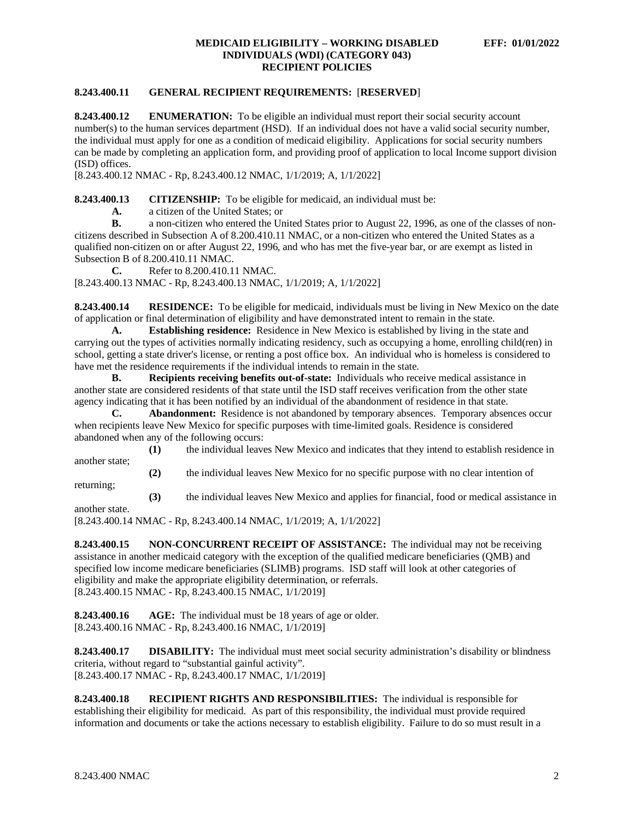### <span id="page-2-0"></span>**8.243.400.11 GENERAL RECIPIENT REQUIREMENTS:** [**RESERVED**]

<span id="page-2-1"></span>**8.243.400.12 ENUMERATION:** To be eligible an individual must report their social security account number(s) to the human services department (HSD). If an individual does not have a valid social security number, the individual must apply for one as a condition of medicaid eligibility. Applications for social security numbers can be made by completing an application form, and providing proof of application to local Income support division (ISD) offices.

[8.243.400.12 NMAC - Rp, 8.243.400.12 NMAC, 1/1/2019; A, 1/1/2022]

<span id="page-2-2"></span>**8.243.400.13 CITIZENSHIP:** To be eligible for medicaid, an individual must be:

**A.** a citizen of the United States; or<br>**B.** a non-citizen who entered the Un

**B.** a non-citizen who entered the United States prior to August 22, 1996, as one of the classes of noncitizens described in Subsection A of 8.200.410.11 NMAC, or a non-citizen who entered the United States as a qualified non-citizen on or after August 22, 1996, and who has met the five-year bar, or are exempt as listed in Subsection B of 8.200.410.11 NMAC.

**C.** Refer to 8.200.410.11 NMAC.

[8.243.400.13 NMAC - Rp, 8.243.400.13 NMAC, 1/1/2019; A, 1/1/2022]

<span id="page-2-3"></span>**8.243.400.14 RESIDENCE:** To be eligible for medicaid, individuals must be living in New Mexico on the date of application or final determination of eligibility and have demonstrated intent to remain in the state.

**A. Establishing residence:** Residence in New Mexico is established by living in the state and carrying out the types of activities normally indicating residency, such as occupying a home, enrolling child(ren) in school, getting a state driver's license, or renting a post office box. An individual who is homeless is considered to have met the residence requirements if the individual intends to remain in the state.

**B. Recipients receiving benefits out-of-state:** Individuals who receive medical assistance in another state are considered residents of that state until the ISD staff receives verification from the other state agency indicating that it has been notified by an individual of the abandonment of residence in that state.

**C. Abandonment:** Residence is not abandoned by temporary absences. Temporary absences occur when recipients leave New Mexico for specific purposes with time-limited goals. Residence is considered abandoned when any of the following occurs:

**(1)** the individual leaves New Mexico and indicates that they intend to establish residence in another state;

**(2)** the individual leaves New Mexico for no specific purpose with no clear intention of returning;

**(3)** the individual leaves New Mexico and applies for financial, food or medical assistance in

another state.

[8.243.400.14 NMAC - Rp, 8.243.400.14 NMAC, 1/1/2019; A, 1/1/2022]

<span id="page-2-4"></span>**8.243.400.15 NON-CONCURRENT RECEIPT OF ASSISTANCE:** The individual may not be receiving assistance in another medicaid category with the exception of the qualified medicare beneficiaries (QMB) and specified low income medicare beneficiaries (SLIMB) programs. ISD staff will look at other categories of eligibility and make the appropriate eligibility determination, or referrals. [8.243.400.15 NMAC - Rp, 8.243.400.15 NMAC, 1/1/2019]

<span id="page-2-5"></span>**8.243.400.16 AGE:** The individual must be 18 years of age or older. [8.243.400.16 NMAC - Rp, 8.243.400.16 NMAC, 1/1/2019]

<span id="page-2-6"></span>**8.243.400.17 DISABILITY:** The individual must meet social security administration's disability or blindness criteria, without regard to "substantial gainful activity". [8.243.400.17 NMAC - Rp, 8.243.400.17 NMAC, 1/1/2019]

<span id="page-2-7"></span>**8.243.400.18 RECIPIENT RIGHTS AND RESPONSIBILITIES:** The individual is responsible for establishing their eligibility for medicaid. As part of this responsibility, the individual must provide required information and documents or take the actions necessary to establish eligibility. Failure to do so must result in a